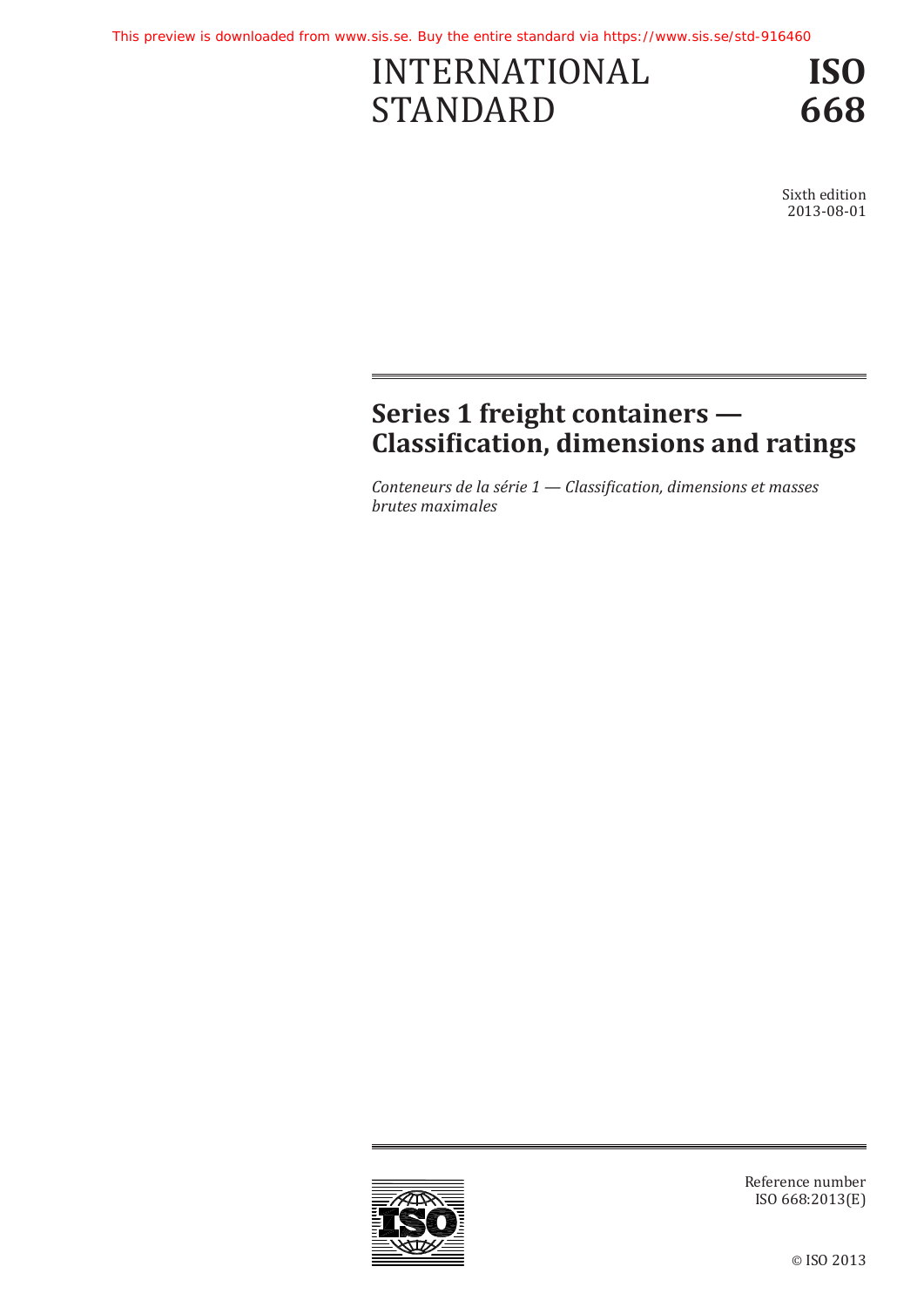# INTERNATIONAL STANDARD

**ISO 668**

Sixth edition 2013-08-01

# **Series 1 freight containers — Classification, dimensions and ratings**

*Conteneurs de la série 1 — Classification, dimensions et masses brutes maximales*



Reference number ISO 668:2013(E)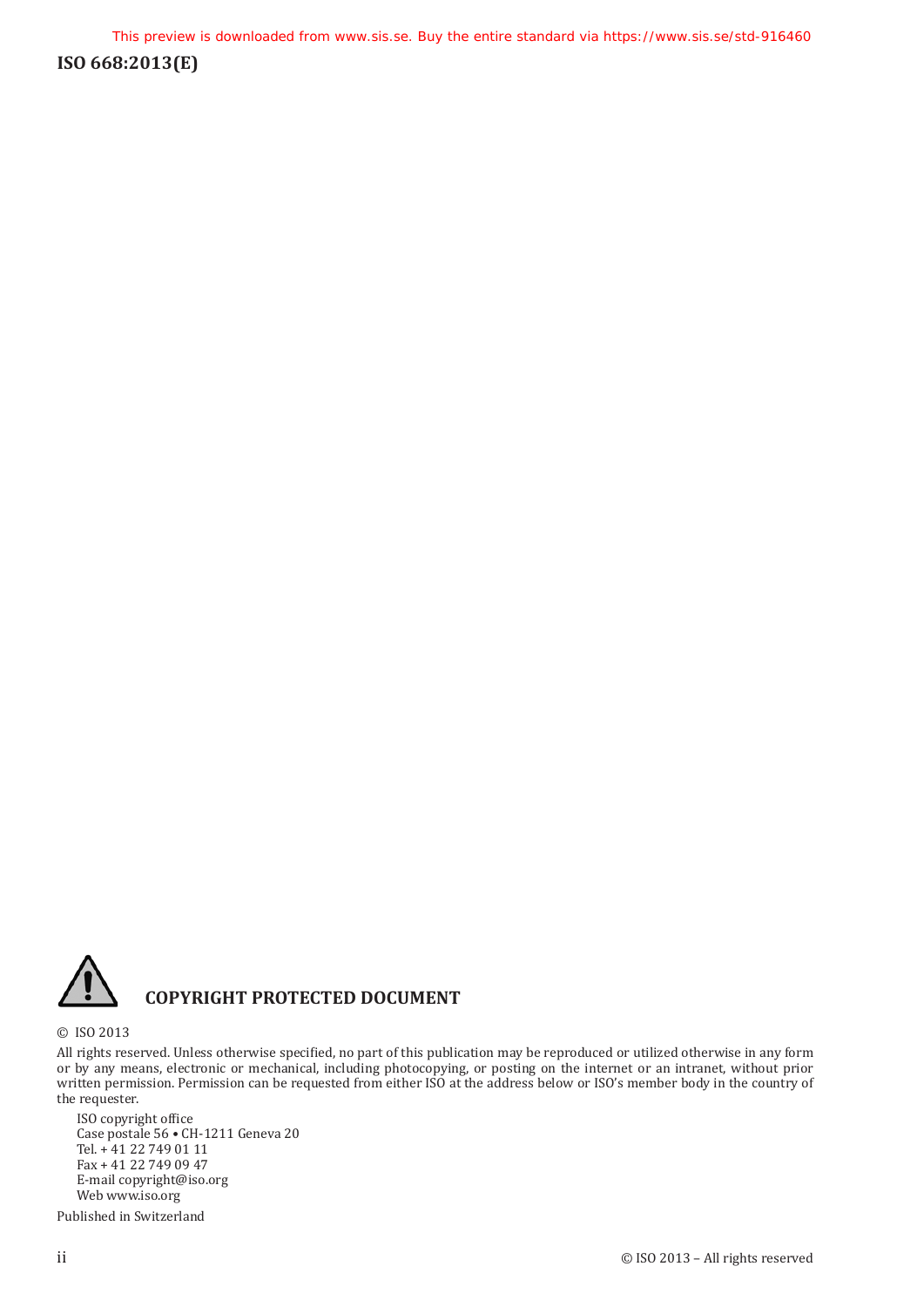

# **COPYRIGHT PROTECTED DOCUMENT**

© ISO 2013

All rights reserved. Unless otherwise specified, no part of this publication may be reproduced or utilized otherwise in any form or by any means, electronic or mechanical, including photocopying, or posting on the internet or an intranet, without prior written permission. Permission can be requested from either ISO at the address below or ISO's member body in the country of the requester.

ISO copyright office Case postale 56 • CH-1211 Geneva 20 Tel. + 41 22 749 01 11 Fax + 41 22 749 09 47 E-mail copyright@iso.org Web www.iso.org

Published in Switzerland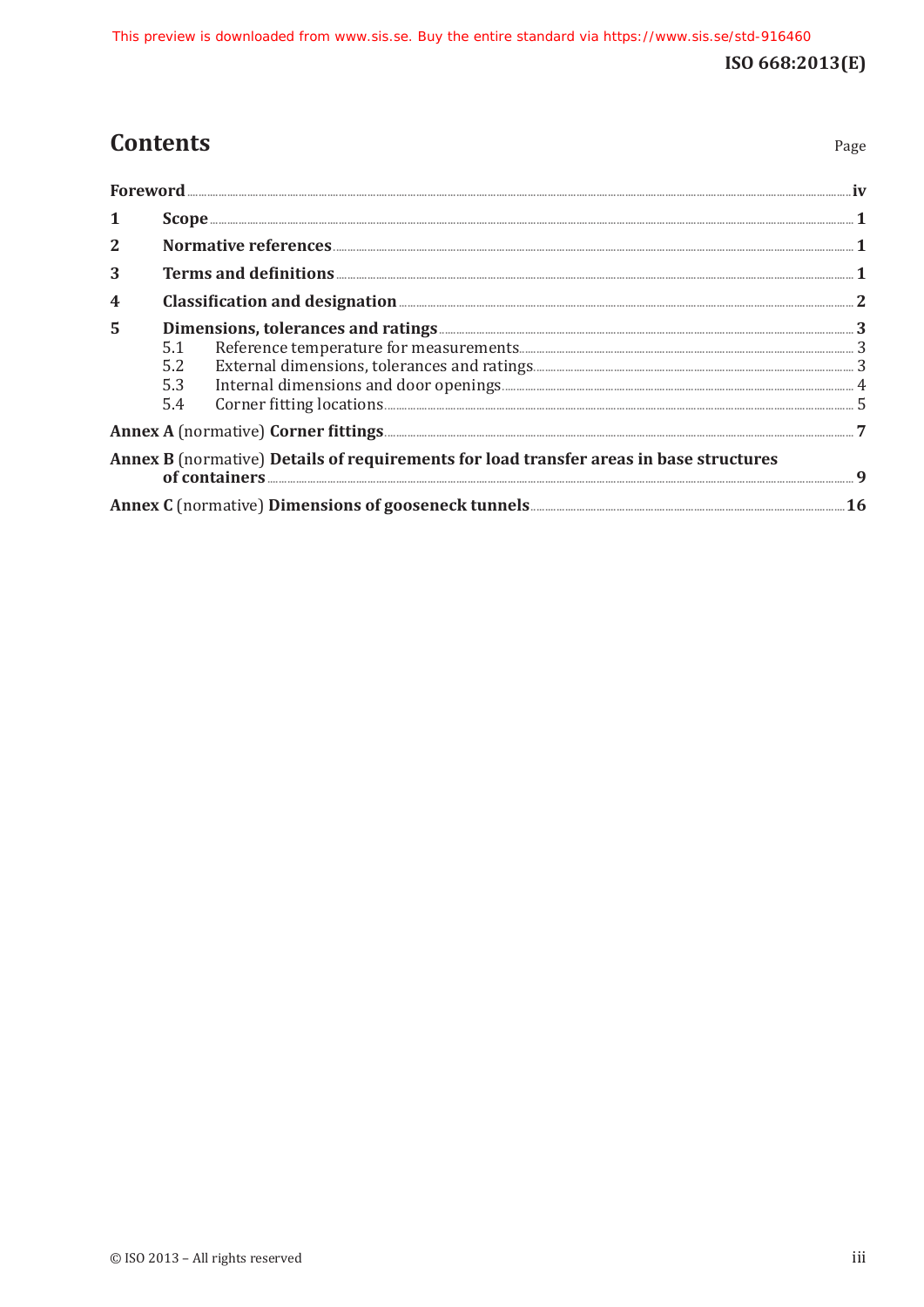Page

# **Contents**

| $\overline{2}$ |            |                                                                                                                                                                                                                                                                                                                |  |  |
|----------------|------------|----------------------------------------------------------------------------------------------------------------------------------------------------------------------------------------------------------------------------------------------------------------------------------------------------------------|--|--|
| 3              |            |                                                                                                                                                                                                                                                                                                                |  |  |
| 4              |            | Classification and designation <b>Election</b> 2014 12:00 12:00 13:00 14:00 14:00 14:00 14:00 14:00 14:00 14:00 14:00 14:00 14:00 14:00 14:00 14:00 14:00 14:00 14:00 14:00 14:00 14:00 14:00 14:00 14:00 14:00 14:00 14:00 14:00 1                                                                            |  |  |
| 5              |            |                                                                                                                                                                                                                                                                                                                |  |  |
|                |            |                                                                                                                                                                                                                                                                                                                |  |  |
|                | 5.3<br>5.4 |                                                                                                                                                                                                                                                                                                                |  |  |
|                |            |                                                                                                                                                                                                                                                                                                                |  |  |
|                |            | Annex B (normative) Details of requirements for load transfer areas in base structures<br>of containers <b>containers containers and the set of containers and the set of containers and the set of containers and the set of containers and the set of containers and the set of containers and the set o</b> |  |  |
|                |            |                                                                                                                                                                                                                                                                                                                |  |  |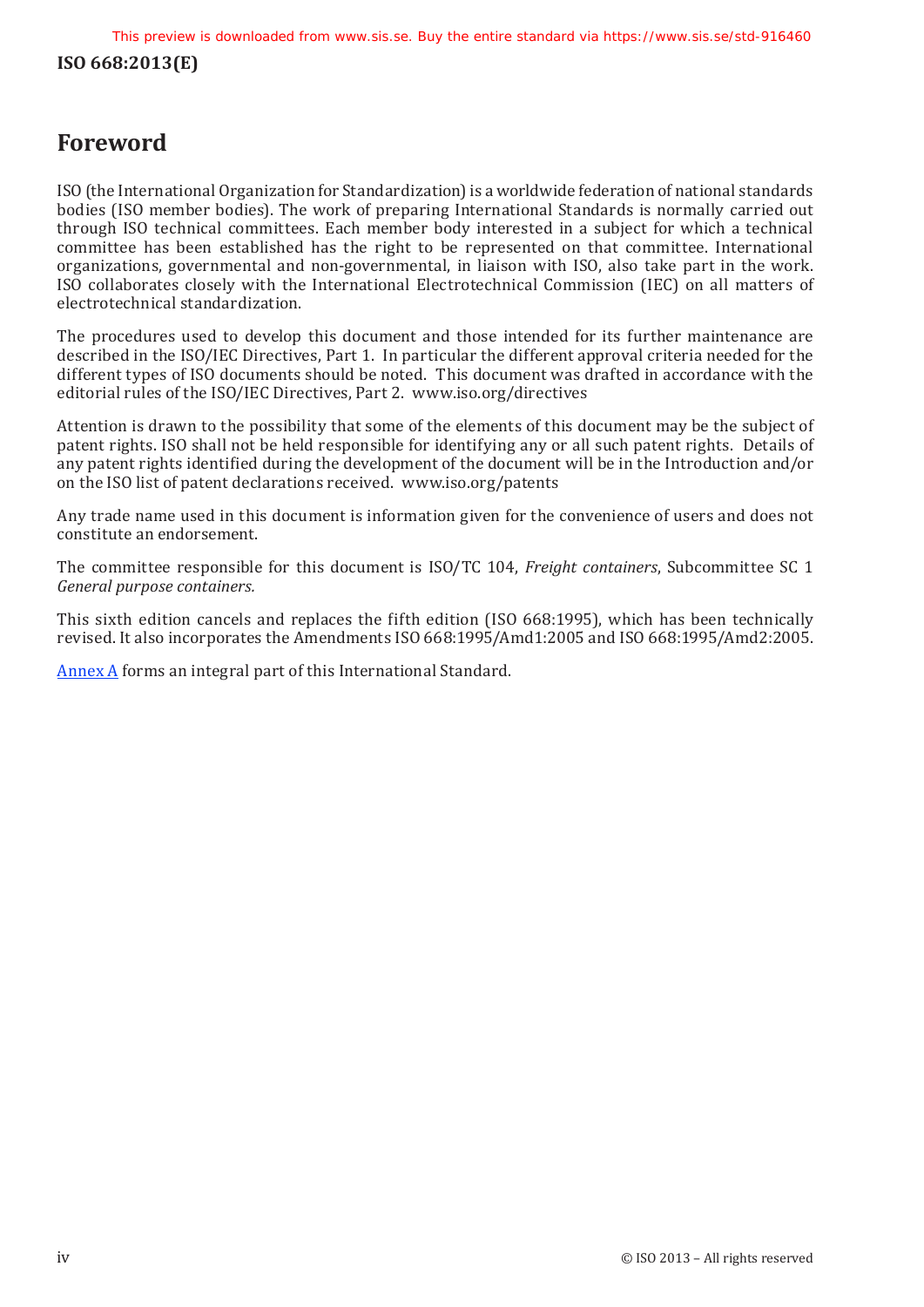# <span id="page-3-0"></span>**Foreword**

ISO (the International Organization for Standardization) is a worldwide federation of national standards bodies (ISO member bodies). The work of preparing International Standards is normally carried out through ISO technical committees. Each member body interested in a subject for which a technical committee has been established has the right to be represented on that committee. International organizations, governmental and non-governmental, in liaison with ISO, also take part in the work. ISO collaborates closely with the International Electrotechnical Commission (IEC) on all matters of electrotechnical standardization.

The procedures used to develop this document and those intended for its further maintenance are described in the ISO/IEC Directives, Part 1. In particular the different approval criteria needed for the different types of ISO documents should be noted. This document was drafted in accordance with the editorial rules of the ISO/IEC Directives, Part 2. [www.iso.org/directives](http://www.iso.org/directives)

Attention is drawn to the possibility that some of the elements of this document may be the subject of patent rights. ISO shall not be held responsible for identifying any or all such patent rights. Details of any patent rights identified during the development of the document will be in the Introduction and/or on the ISO list of patent declarations received. [www.iso.org/patents](http://www.iso.org/patents)

Any trade name used in this document is information given for the convenience of users and does not constitute an endorsement.

The committee responsible for this document is ISO/TC 104, *Freight containers*, Subcommittee SC 1 *General purpose containers.*

This sixth edition cancels and replaces the fifth edition (ISO 668:1995), which has been technically revised. It also incorporates the Amendments ISO 668:1995/Amd1:2005 and ISO 668:1995/Amd2:2005.

Annex A forms an integral part of this International Standard.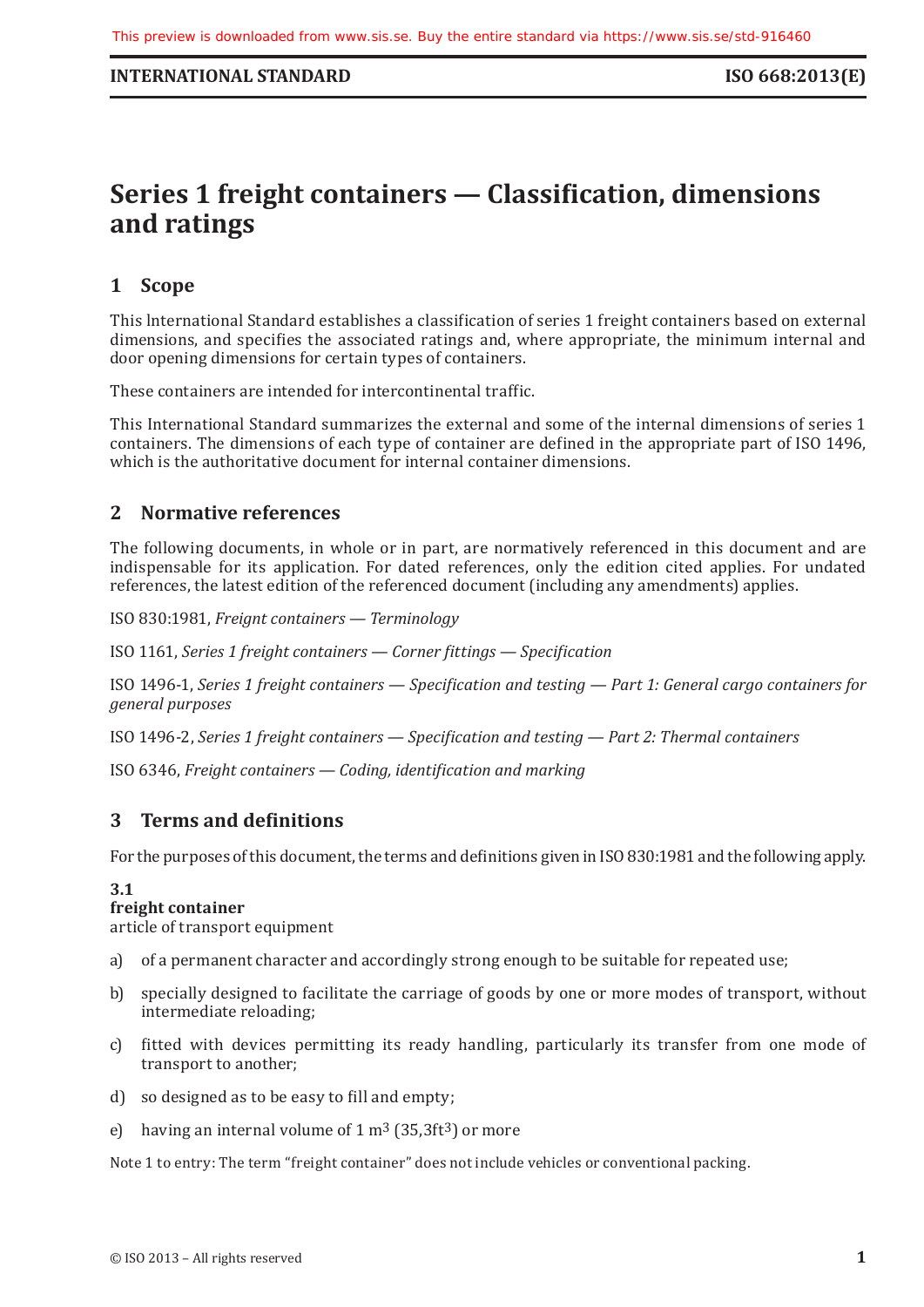# <span id="page-4-0"></span>**Series 1 freight containers — Classification, dimensions and ratings**

## **1 Scope**

This lnternational Standard establishes a classification of series 1 freight containers based on external dimensions, and specifies the associated ratings and, where appropriate, the minimum internal and door opening dimensions for certain types of containers.

These containers are intended for intercontinental traffic.

This International Standard summarizes the external and some of the internal dimensions of series 1 containers. The dimensions of each type of container are defined in the appropriate part of ISO 1496, which is the authoritative document for internal container dimensions.

## **2 Normative references**

The following documents, in whole or in part, are normatively referenced in this document and are indispensable for its application. For dated references, only the edition cited applies. For undated references, the latest edition of the referenced document (including any amendments) applies.

ISO 830:1981, *Freignt containers — Terminology*

ISO 1161, *Series 1 freight containers — Corner fittings — Specification*

ISO 1496-1, *Series 1 freight containers — Specification and testing — Part 1: General cargo containers for general purposes*

ISO 1496-2, *Series 1 freight containers — Specification and testing — Part 2: Thermal containers*

ISO 6346, *Freight containers — Coding, identification and marking*

#### **3 Terms and definitions**

For the purposes of this document, the terms and definitions given in ISO 830:1981 and the following apply.

#### **3.1**

#### **freight container**

article of transport equipment

- a) of a permanent character and accordingly strong enough to be suitable for repeated use;
- b) specially designed to facilitate the carriage of goods by one or more modes of transport, without intermediate reloading;
- c) fitted with devices permitting its ready handling, particularly its transfer from one mode of transport to another;
- d) so designed as to be easy to fill and empty;
- e) having an internal volume of  $1 \text{ m}^3$  (35,3ft<sup>3</sup>) or more

Note 1 to entry: The term "freight container" does not include vehicles or conventional packing.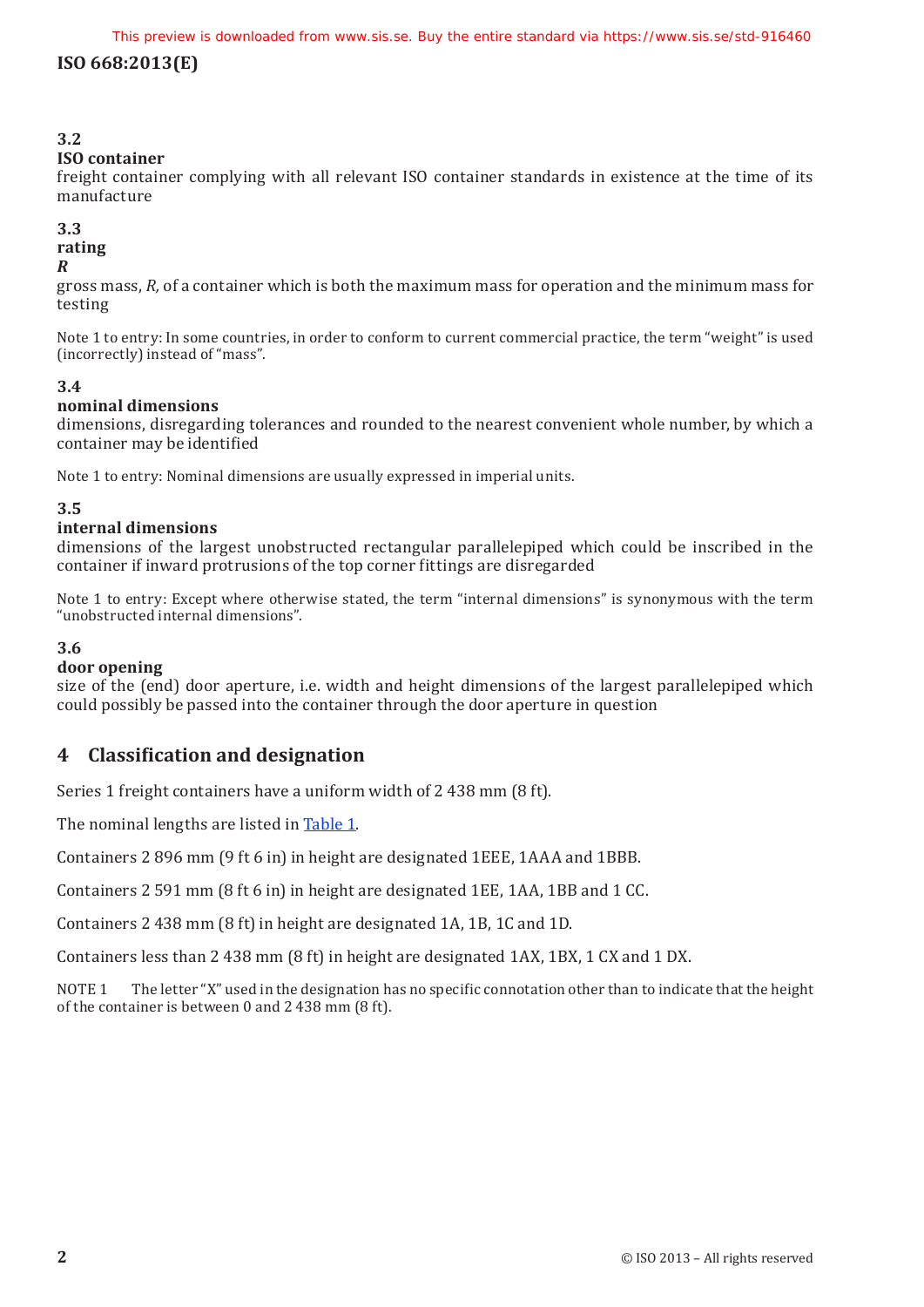#### <span id="page-5-0"></span>**3.2**

#### **ISO container**

freight container complying with all relevant ISO container standards in existence at the time of its manufacture

#### <span id="page-5-1"></span>**3.3**

#### **rating**

#### *R*

gross mass, *R,* of a container which is both the maximum mass for operation and the minimum mass for testing

Note 1 to entry: In some countries, in order to conform to current commercial practice, the term "weight" is used (incorrectly) instead of "mass".

#### **3.4**

#### **nominal dimensions**

dimensions, disregarding tolerances and rounded to the nearest convenient whole number, by which a container may be identified

Note 1 to entry: Nominal dimensions are usually expressed in imperial units.

#### **3.5**

#### **internal dimensions**

dimensions of the largest unobstructed rectangular parallelepiped which could be inscribed in the container if inward protrusions of the top corner fittings are disregarded

Note 1 to entry: Except where otherwise stated, the term "internal dimensions" is synonymous with the term "unobstructed internal dimensions".

#### **3.6**

#### **door opening**

size of the (end) door aperture, i.e. width and height dimensions of the largest parallelepiped which could possibly be passed into the container through the door aperture in question

# **4 Classification and designation**

Series 1 freight containers have a uniform width of 2 438 mm (8 ft).

The nominal lengths are listed in [Table 1](#page-6-1).

Containers 2 896 mm (9 ft 6 in) in height are designated 1EEE, 1AAA and 1BBB.

Containers 2 591 mm (8 ft 6 in) in height are designated 1EE, 1AA, 1BB and 1 CC.

Containers 2 438 mm (8 ft) in height are designated 1A, 1B, 1C and 1D.

Containers less than 2 438 mm (8 ft) in height are designated 1AX, 1BX, 1 CX and 1 DX.

NOTE 1 The letter "X" used in the designation has no specific connotation other than to indicate that the height of the container is between 0 and 2 438 mm (8 ft).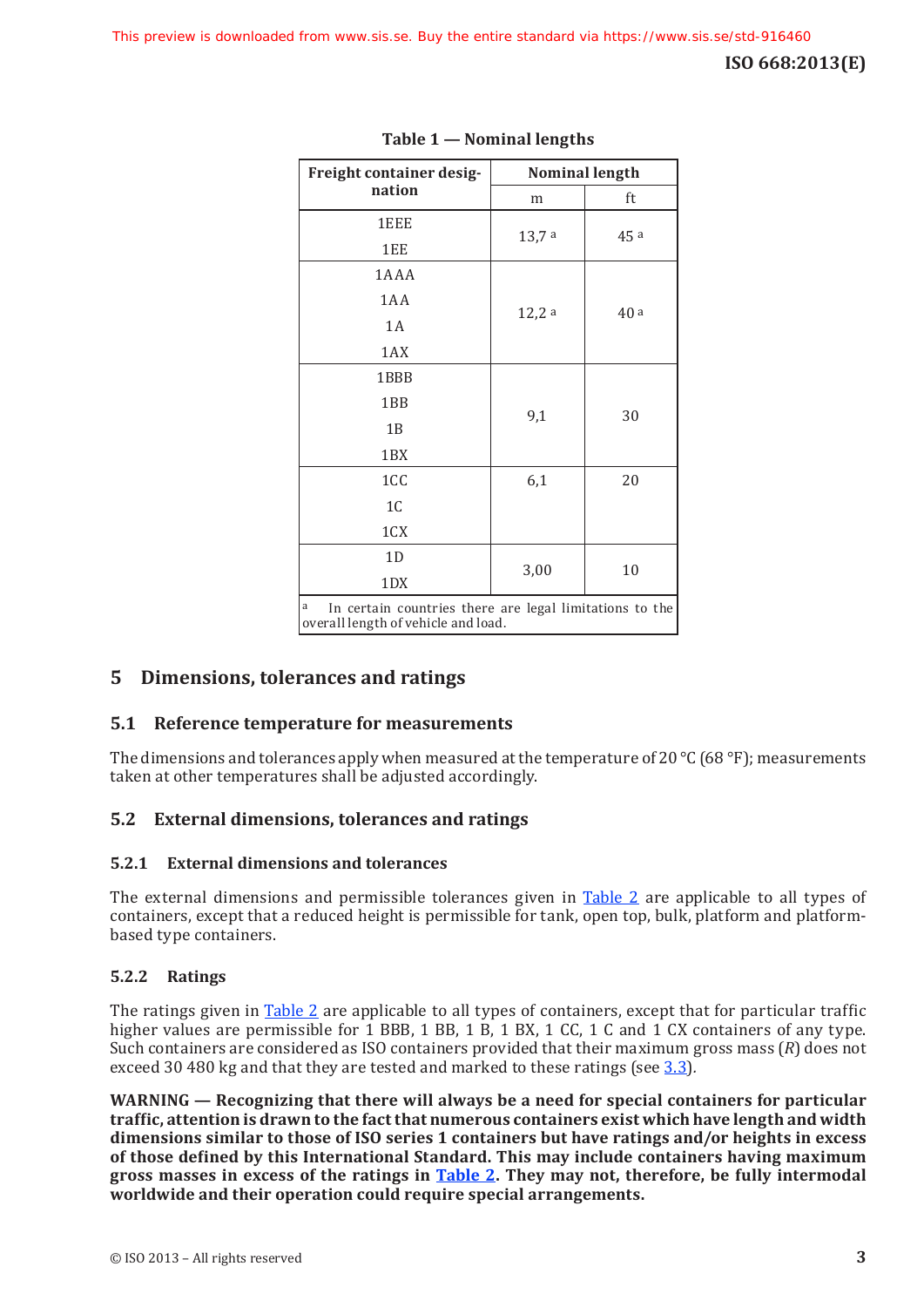<span id="page-6-0"></span>

| Freight container desig-                                                                            | <b>Nominal length</b> |     |  |
|-----------------------------------------------------------------------------------------------------|-----------------------|-----|--|
| nation                                                                                              | m                     | ft  |  |
| 1EEE                                                                                                |                       | 45a |  |
| 1EE                                                                                                 | 13,7a                 |     |  |
| 1AAA                                                                                                |                       | 40a |  |
| 1AA                                                                                                 |                       |     |  |
| 1 A                                                                                                 | 12,2a                 |     |  |
| 1AX                                                                                                 |                       |     |  |
| 1BBB                                                                                                |                       | 30  |  |
| 1 <sub>BB</sub>                                                                                     |                       |     |  |
| 1B                                                                                                  | 9,1                   |     |  |
| 1 <sub>BX</sub>                                                                                     |                       |     |  |
| 1CC                                                                                                 | 6,1                   | 20  |  |
| 1 <sub>C</sub>                                                                                      |                       |     |  |
| 1CX                                                                                                 |                       |     |  |
| 1D                                                                                                  |                       |     |  |
| 1DX                                                                                                 | 3,00                  | 10  |  |
| In certain countries there are legal limitations to the<br>a<br>overall length of vehicle and load. |                       |     |  |

# <span id="page-6-1"></span>**Table 1 — Nominal lengths**

# **5 Dimensions, tolerances and ratings**

#### **5.1 Reference temperature for measurements**

The dimensions and tolerances apply when measured at the temperature of 20 °C (68 °F); measurements taken at other temperatures shall be adjusted accordingly.

#### **5.2 External dimensions, tolerances and ratings**

#### **5.2.1 External dimensions and tolerances**

The external dimensions and permissible tolerances given in Table 2 are applicable to all types of containers, except that a reduced height is permissible for tank, open top, bulk, platform and platformbased type containers.

#### **5.2.2 Ratings**

The ratings given in Table 2 are applicable to all types of containers, except that for particular traffic higher values are permissible for 1 BBB, 1 BB, 1 B, 1 BX, 1 CC, 1 C and 1 CX containers of any type. Such containers are considered as ISO containers provided that their maximum gross mass (*R*) does not exceed 30 480 kg and that they are tested and marked to these ratings (see [3.3\)](#page-5-1)*.*

**WARNING — Recognizing that there will always be a need for special containers for particular traffic, attention is drawn to the fact that numerous containers exist which have length and width dimensions similar to those of ISO series 1 containers but have ratings and/or heights in excess of those defined by this International Standard. This may include containers having maximum gross masses in excess of the ratings in Table 2. They may not, therefore, be fully intermodal worldwide and their operation could require special arrangements.**